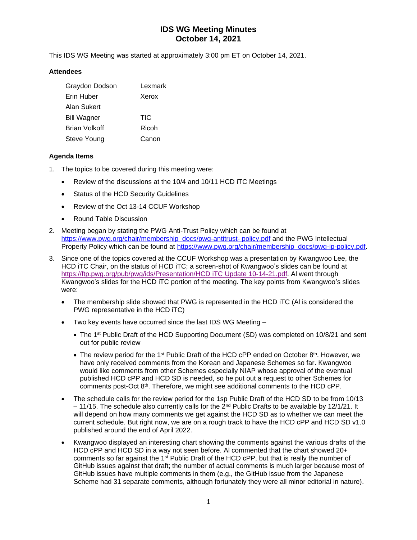This IDS WG Meeting was started at approximately 3:00 pm ET on October 14, 2021.

#### **Attendees**

| Graydon Dodson     | Lexmark |
|--------------------|---------|
| Erin Huber         | Xerox   |
| Alan Sukert        |         |
| <b>Bill Wagner</b> | TIC     |
| Brian Volkoff      | Ricoh   |
| Steve Young        | Canon   |

#### **Agenda Items**

- 1. The topics to be covered during this meeting were:
	- Review of the discussions at the 10/4 and 10/11 HCD iTC Meetings
	- Status of the HCD Security Guidelines
	- Review of the Oct 13-14 CCUF Workshop
	- Round Table Discussion
- 2. Meeting began by stating the PWG Anti-Trust Policy which can be found at [https://www.pwg.org/chair/membership\\_docs/pwg-antitrust-](https://www.pwg.org/chair/membership_docs/pwg-antitrust-%20policy.pdf) policy.pdf and the PWG Intellectual Property Policy which can be found at [https://www.pwg.org/chair/membership\\_docs/pwg-ip-policy.pdf.](https://www.pwg.org/chair/membership_docs/pwg-ip-policy.pdf)
- 3. Since one of the topics covered at the CCUF Workshop was a presentation by Kwangwoo Lee, the HCD iTC Chair, on the status of HCD iTC; a screen-shot of Kwangwoo's slides can be found at [https://ftp.pwg.org/pub/pwg/ids/Presentation/HCD iTC Update 10-14-21.pdf.](https://ftp.pwg.org/pub/pwg/ids/Presentation/HCD%20iTC%20Update%2010-14-21.pdf) Al went through Kwangwoo's slides for the HCD iTC portion of the meeting. The key points from Kwangwoo's slides were:
	- The membership slide showed that PWG is represented in the HCD iTC (Al is considered the PWG representative in the HCD iTC)
	- Two key events have occurred since the last IDS WG Meeting
		- The 1<sup>st</sup> Public Draft of the HCD Supporting Document (SD) was completed on 10/8/21 and sent out for public review
		- The review period for the 1<sup>st</sup> Public Draft of the HCD cPP ended on October 8<sup>th</sup>. However, we have only received comments from the Korean and Japanese Schemes so far. Kwangwoo would like comments from other Schemes especially NIAP whose approval of the eventual published HCD cPP and HCD SD is needed, so he put out a request to other Schemes for comments post-Oct 8th. Therefore, we might see additional comments to the HCD cPP.
	- The schedule calls for the review period for the 1sp Public Draft of the HCD SD to be from 10/13  $-11/15$ . The schedule also currently calls for the 2<sup>nd</sup> Public Drafts to be available by 12/1/21. It will depend on how many comments we get against the HCD SD as to whether we can meet the current schedule. But right now, we are on a rough track to have the HCD cPP and HCD SD v1.0 published around the end of April 2022.
	- Kwangwoo displayed an interesting chart showing the comments against the various drafts of the HCD cPP and HCD SD in a way not seen before. Al commented that the chart showed 20+ comments so far against the 1<sup>st</sup> Public Draft of the HCD cPP, but that is really the number of GitHub issues against that draft; the number of actual comments is much larger because most of GitHub issues have multiple comments in them (e.g., the GitHub issue from the Japanese Scheme had 31 separate comments, although fortunately they were all minor editorial in nature).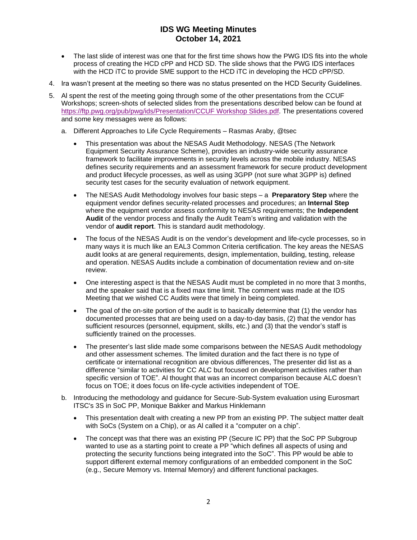- The last slide of interest was one that for the first time shows how the PWG IDS fits into the whole process of creating the HCD cPP and HCD SD. The slide shows that the PWG IDS interfaces with the HCD iTC to provide SME support to the HCD iTC in developing the HCD cPP/SD.
- 4. Ira wasn't present at the meeting so there was no status presented on the HCD Security Guidelines.
- 5. Al spent the rest of the meeting going through some of the other presentations from the CCUF Workshops; screen-shots of selected slides from the presentations described below can be found at [https://ftp.pwg.org/pub/pwg/ids/Presentation/CCUF Workshop Slides.pdf.](https://ftp.pwg.org/pub/pwg/ids/Presentation/CCUF%20Workshop%20Slides.pdf) The presentations covered and some key messages were as follows:
	- a. Different Approaches to Life Cycle Requirements Rasmas Araby, @tsec
		- This presentation was about the NESAS Audit Methodology. NESAS (The Network Equipment Security Assurance Scheme), provides an industry-wide security assurance framework to facilitate improvements in security levels across the mobile industry. NESAS defines security requirements and an assessment framework for secure product development and product lifecycle processes, as well as using 3GPP (not sure what 3GPP is) defined security test cases for the security evaluation of network equipment.
		- The NESAS Audit Methodology involves four basic steps a **Preparatory Step** where the equipment vendor defines security-related processes and procedures; an **Internal Step** where the equipment vendor assess conformity to NESAS requirements; the **Independent Audit** of the vendor process and finally the Audit Team's writing and validation with the vendor of **audit report**. This is standard audit methodology.
		- The focus of the NESAS Audit is on the vendor's development and life-cycle processes, so in many ways it is much like an EAL3 Common Criteria certification. The key areas the NESAS audit looks at are general requirements, design, implementation, building, testing, release and operation. NESAS Audits include a combination of documentation review and on-site review.
		- One interesting aspect is that the NESAS Audit must be completed in no more that 3 months, and the speaker said that is a fixed max time limit. The comment was made at the IDS Meeting that we wished CC Audits were that timely in being completed.
		- The goal of the on-site portion of the audit is to basically determine that (1) the vendor has documented processes that are being used on a day-to-day basis, (2) that the vendor has sufficient resources (personnel, equipment, skills, etc.) and (3) that the vendor's staff is sufficiently trained on the processes.
		- The presenter's last slide made some comparisons between the NESAS Audit methodology and other assessment schemes. The limited duration and the fact there is no type of certificate or international recognition are obvious differences, The presenter did list as a difference "similar to activities for CC ALC but focused on development activities rather than specific version of TOE". Al thought that was an incorrect comparison because ALC doesn't focus on TOE; it does focus on life-cycle activities independent of TOE.
	- b. Introducing the methodology and guidance for Secure‐Sub‐System evaluation using Eurosmart ITSC's 3S in SoC PP, Monique Bakker and Markus Hinklemann
		- This presentation dealt with creating a new PP from an existing PP. The subject matter dealt with SoCs (System on a Chip), or as Al called it a "computer on a chip".
		- The concept was that there was an existing PP (Secure IC PP) that the SoC PP Subgroup wanted to use as a starting point to create a PP "which defines all aspects of using and protecting the security functions being integrated into the SoC". This PP would be able to support different external memory configurations of an embedded component in the SoC (e.g., Secure Memory vs. Internal Memory) and different functional packages.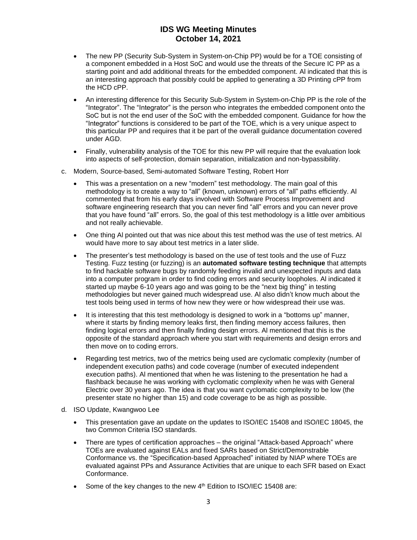- The new PP (Security Sub-System in System-on-Chip PP) would be for a TOE consisting of a component embedded in a Host SoC and would use the threats of the Secure IC PP as a starting point and add additional threats for the embedded component. Al indicated that this is an interesting approach that possibly could be applied to generating a 3D Printing cPP from the HCD cPP.
- An interesting difference for this Security Sub-System in System-on-Chip PP is the role of the "Integrator". The "Integrator" is the person who integrates the embedded component onto the SoC but is not the end user of the SoC with the embedded component. Guidance for how the "Integrator" functions is considered to be part of the TOE, which is a very unique aspect to this particular PP and requires that it be part of the overall guidance documentation covered under AGD.
- Finally, vulnerability analysis of the TOE for this new PP will require that the evaluation look into aspects of self-protection, domain separation, initialization and non-bypassibility.
- c. Modern, Source-based, Semi-automated Software Testing, Robert Horr
	- This was a presentation on a new "modern" test methodology. The main goal of this methodology is to create a way to "all" (known, unknown) errors of "all" paths efficiently. Al commented that from his early days involved with Software Process Improvement and software engineering research that you can never find "all" errors and you can never prove that you have found "all" errors. So, the goal of this test methodology is a little over ambitious and not really achievable.
	- One thing Al pointed out that was nice about this test method was the use of test metrics. Al would have more to say about test metrics in a later slide.
	- The presenter's test methodology is based on the use of test tools and the use of Fuzz Testing. Fuzz testing (or fuzzing) is an **automated software testing technique** that attempts to find hackable software bugs by randomly feeding invalid and unexpected inputs and data into a computer program in order to find coding errors and security loopholes. Al indicated it started up maybe 6-10 years ago and was going to be the "next big thing" in testing methodologies but never gained much widespread use. Al also didn't know much about the test tools being used in terms of how new they were or how widespread their use was.
	- It is interesting that this test methodology is designed to work in a "bottoms up" manner, where it starts by finding memory leaks first, then finding memory access failures, then finding logical errors and then finally finding design errors. Al mentioned that this is the opposite of the standard approach where you start with requirements and design errors and then move on to coding errors.
	- Regarding test metrics, two of the metrics being used are cyclomatic complexity (number of independent execution paths) and code coverage (number of executed independent execution paths). Al mentioned that when he was listening to the presentation he had a flashback because he was working with cyclomatic complexity when he was with General Electric over 30 years ago. The idea is that you want cyclomatic complexity to be low (the presenter state no higher than 15) and code coverage to be as high as possible.
- d. ISO Update, Kwangwoo Lee
	- This presentation gave an update on the updates to ISO/IEC 15408 and ISO/IEC 18045, the two Common Criteria ISO standards.
	- There are types of certification approaches the original "Attack-based Approach" where TOEs are evaluated against EALs and fixed SARs based on Strict/Demonstrable Conformance vs. the "Specification-based Approached" initiated by NIAP where TOEs are evaluated against PPs and Assurance Activities that are unique to each SFR based on Exact Conformance.
	- Some of the key changes to the new 4<sup>th</sup> Edition to ISO/IEC 15408 are: